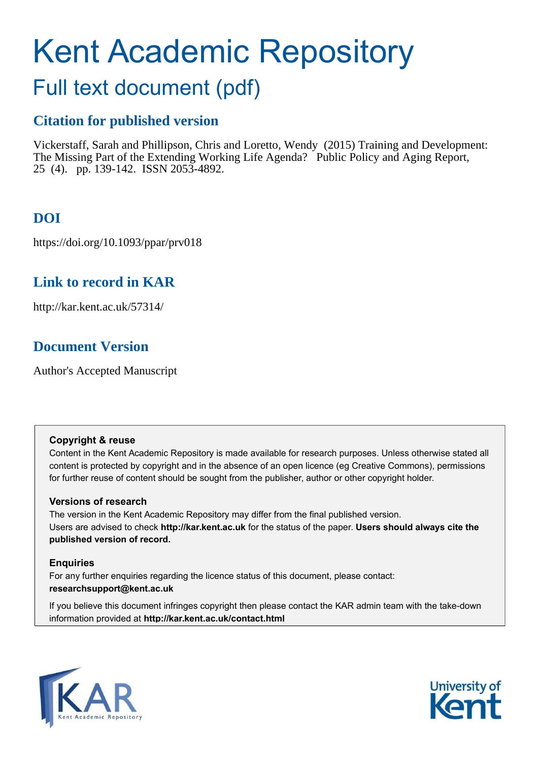# Kent Academic Repository

## Full text document (pdf)

## **Citation for published version**

Vickerstaff, Sarah and Phillipson, Chris and Loretto, Wendy (2015) Training and Development: The Missing Part of the Extending Working Life Agenda? Public Policy and Aging Report, 25 (4). pp. 139-142. ISSN 2053-4892.

## **DOI**

https://doi.org/10.1093/ppar/prv018

## **Link to record in KAR**

http://kar.kent.ac.uk/57314/

## **Document Version**

Author's Accepted Manuscript

## **Copyright & reuse**

Content in the Kent Academic Repository is made available for research purposes. Unless otherwise stated all content is protected by copyright and in the absence of an open licence (eg Creative Commons), permissions for further reuse of content should be sought from the publisher, author or other copyright holder.

## **Versions of research**

The version in the Kent Academic Repository may differ from the final published version. Users are advised to check **http://kar.kent.ac.uk** for the status of the paper. **Users should always cite the published version of record.**

## **Enquiries**

For any further enquiries regarding the licence status of this document, please contact: **researchsupport@kent.ac.uk**

If you believe this document infringes copyright then please contact the KAR admin team with the take-down information provided at **http://kar.kent.ac.uk/contact.html**



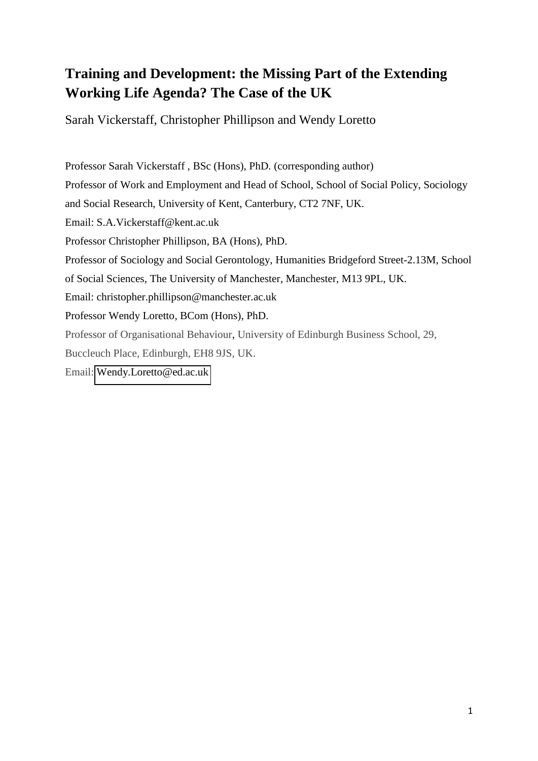## **Training and Development: the Missing Part of the Extending Working Life Agenda? The Case of the UK**

Sarah Vickerstaff, Christopher Phillipson and Wendy Loretto

Professor Sarah Vickerstaff , BSc (Hons), PhD. (corresponding author) Professor of Work and Employment and Head of School, School of Social Policy, Sociology and Social Research, University of Kent, Canterbury, CT2 7NF, UK. Email: S.A.Vickerstaff@kent.ac.uk Professor Christopher Phillipson, BA (Hons), PhD. Professor of Sociology and Social Gerontology, Humanities Bridgeford Street-2.13M, School of Social Sciences, The University of Manchester, Manchester, M13 9PL, UK. Email: christopher.phillipson@manchester.ac.uk Professor Wendy Loretto, BCom (Hons), PhD. Professor of Organisational Behaviour, University of Edinburgh Business School, 29, Buccleuch Place, Edinburgh, EH8 9JS, UK. Email: [Wendy.Loretto@ed.ac.uk](mailto:Wendy.Loretto@ed.ac.uk)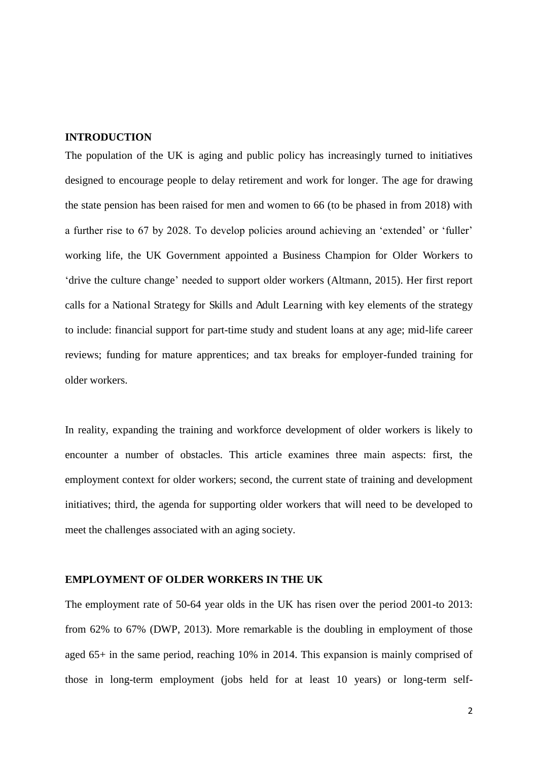#### **INTRODUCTION**

The population of the UK is aging and public policy has increasingly turned to initiatives designed to encourage people to delay retirement and work for longer. The age for drawing the state pension has been raised for men and women to 66 (to be phased in from 2018) with a further rise to 67 by 2028. To develop policies around achieving an 'extended' or 'fuller' working life, the UK Government appointed a Business Champion for Older Workers to 'drive the culture change' needed to support older workers (Altmann, 2015). Her first report calls for a National Strategy for Skills and Adult Learning with key elements of the strategy to include: financial support for part-time study and student loans at any age; mid-life career reviews; funding for mature apprentices; and tax breaks for employer-funded training for older workers.

In reality, expanding the training and workforce development of older workers is likely to encounter a number of obstacles. This article examines three main aspects: first, the employment context for older workers; second, the current state of training and development initiatives; third, the agenda for supporting older workers that will need to be developed to meet the challenges associated with an aging society.

#### **EMPLOYMENT OF OLDER WORKERS IN THE UK**

The employment rate of 50-64 year olds in the UK has risen over the period 2001-to 2013: from 62% to 67% (DWP, 2013). More remarkable is the doubling in employment of those aged 65+ in the same period, reaching 10% in 2014. This expansion is mainly comprised of those in long-term employment (jobs held for at least 10 years) or long-term self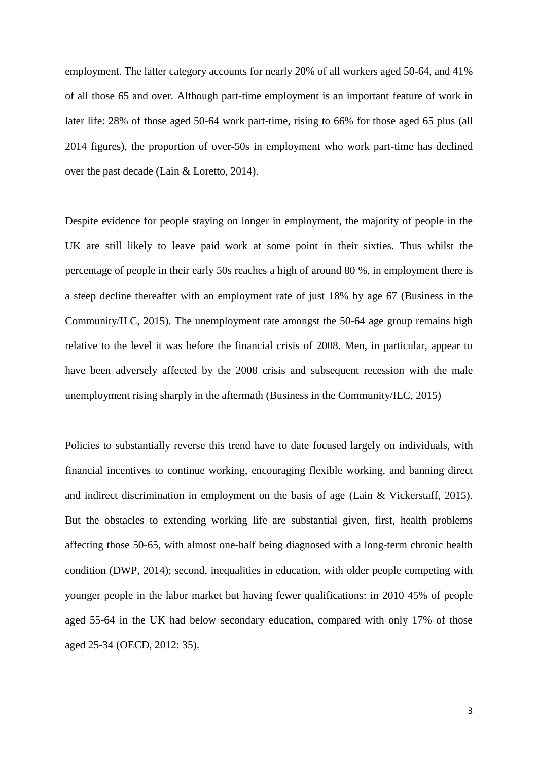employment. The latter category accounts for nearly 20% of all workers aged 50-64, and 41% of all those 65 and over. Although part-time employment is an important feature of work in later life: 28% of those aged 50-64 work part-time, rising to 66% for those aged 65 plus (all 2014 figures), the proportion of over-50s in employment who work part-time has declined over the past decade (Lain & Loretto, 2014).

Despite evidence for people staying on longer in employment, the majority of people in the UK are still likely to leave paid work at some point in their sixties. Thus whilst the percentage of people in their early 50s reaches a high of around 80 %, in employment there is a steep decline thereafter with an employment rate of just 18% by age 67 (Business in the Community/ILC, 2015). The unemployment rate amongst the 50-64 age group remains high relative to the level it was before the financial crisis of 2008. Men, in particular, appear to have been adversely affected by the 2008 crisis and subsequent recession with the male unemployment rising sharply in the aftermath (Business in the Community/ILC, 2015)

Policies to substantially reverse this trend have to date focused largely on individuals, with financial incentives to continue working, encouraging flexible working, and banning direct and indirect discrimination in employment on the basis of age (Lain & Vickerstaff, 2015). But the obstacles to extending working life are substantial given, first, health problems affecting those 50-65, with almost one-half being diagnosed with a long-term chronic health condition (DWP, 2014); second, inequalities in education, with older people competing with younger people in the labor market but having fewer qualifications: in 2010 45% of people aged 55-64 in the UK had below secondary education, compared with only 17% of those aged 25-34 (OECD, 2012: 35).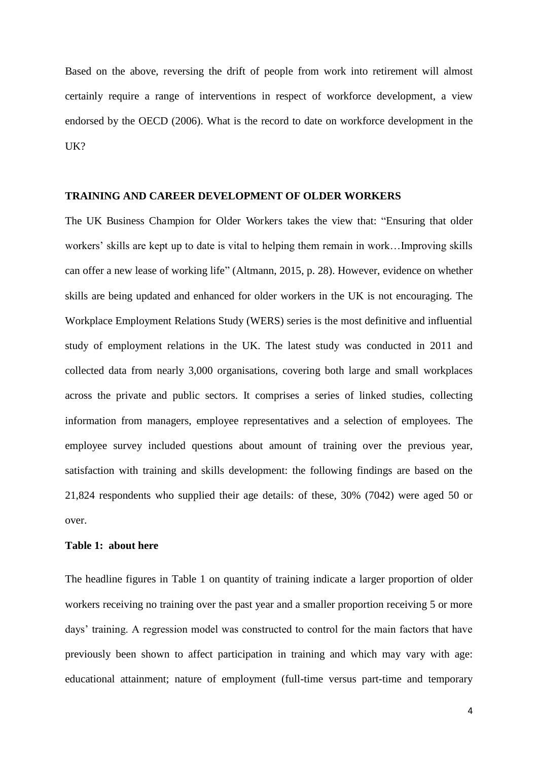Based on the above, reversing the drift of people from work into retirement will almost certainly require a range of interventions in respect of workforce development, a view endorsed by the OECD (2006). What is the record to date on workforce development in the UK?

#### **TRAINING AND CAREER DEVELOPMENT OF OLDER WORKERS**

The UK Business Champion for Older Workers takes the view that: "Ensuring that older workers' skills are kept up to date is vital to helping them remain in work…Improving skills can offer a new lease of working life" (Altmann, 2015, p. 28). However, evidence on whether skills are being updated and enhanced for older workers in the UK is not encouraging. The Workplace Employment Relations Study (WERS) series is the most definitive and influential study of employment relations in the UK. The latest study was conducted in 2011 and collected data from nearly 3,000 organisations, covering both large and small workplaces across the private and public sectors. It comprises a series of linked studies, collecting information from managers, employee representatives and a selection of employees. The employee survey included questions about amount of training over the previous year, satisfaction with training and skills development: the following findings are based on the 21,824 respondents who supplied their age details: of these, 30% (7042) were aged 50 or over.

#### **Table 1: about here**

The headline figures in Table 1 on quantity of training indicate a larger proportion of older workers receiving no training over the past year and a smaller proportion receiving 5 or more days' training. A regression model was constructed to control for the main factors that have previously been shown to affect participation in training and which may vary with age: educational attainment; nature of employment (full-time versus part-time and temporary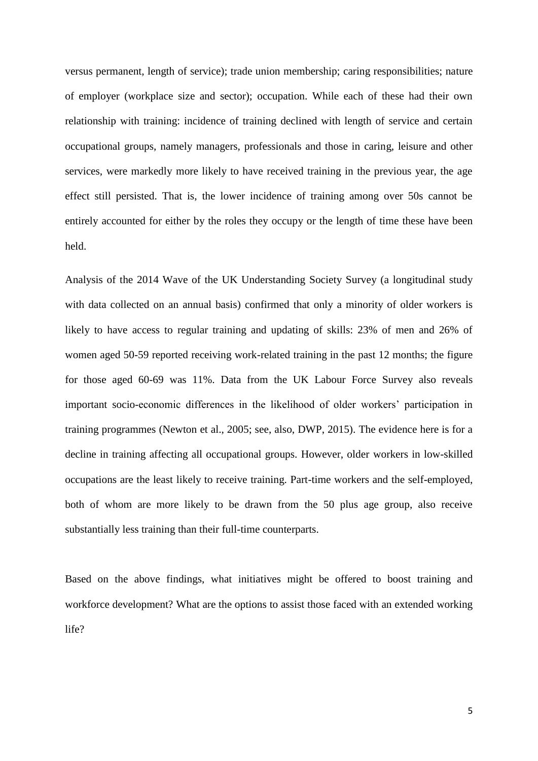versus permanent, length of service); trade union membership; caring responsibilities; nature of employer (workplace size and sector); occupation. While each of these had their own relationship with training: incidence of training declined with length of service and certain occupational groups, namely managers, professionals and those in caring, leisure and other services, were markedly more likely to have received training in the previous year, the age effect still persisted. That is, the lower incidence of training among over 50s cannot be entirely accounted for either by the roles they occupy or the length of time these have been held.

Analysis of the 2014 Wave of the UK Understanding Society Survey (a longitudinal study with data collected on an annual basis) confirmed that only a minority of older workers is likely to have access to regular training and updating of skills: 23% of men and 26% of women aged 50-59 reported receiving work-related training in the past 12 months; the figure for those aged 60-69 was 11%. Data from the UK Labour Force Survey also reveals important socio-economic differences in the likelihood of older workers' participation in training programmes (Newton et al., 2005; see, also, DWP, 2015). The evidence here is for a decline in training affecting all occupational groups. However, older workers in low-skilled occupations are the least likely to receive training. Part-time workers and the self-employed, both of whom are more likely to be drawn from the 50 plus age group, also receive substantially less training than their full-time counterparts.

Based on the above findings, what initiatives might be offered to boost training and workforce development? What are the options to assist those faced with an extended working life?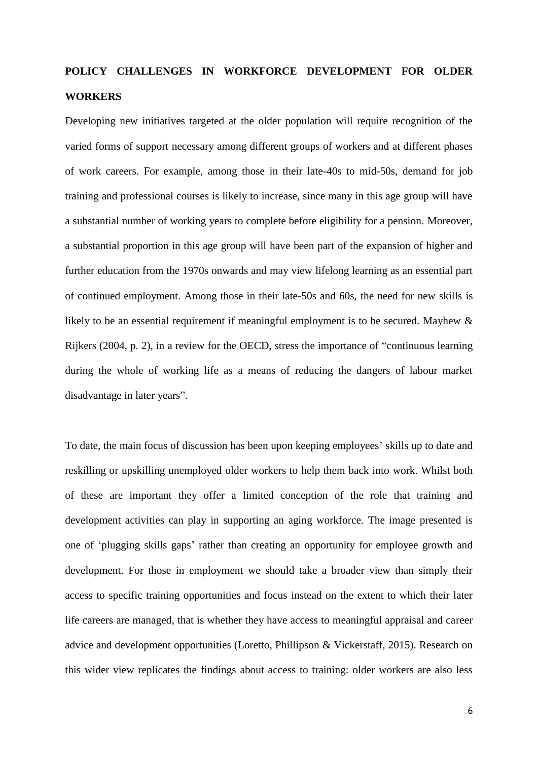## **POLICY CHALLENGES IN WORKFORCE DEVELOPMENT FOR OLDER WORKERS**

Developing new initiatives targeted at the older population will require recognition of the varied forms of support necessary among different groups of workers and at different phases of work careers. For example, among those in their late-40s to mid-50s, demand for job training and professional courses is likely to increase, since many in this age group will have a substantial number of working years to complete before eligibility for a pension. Moreover, a substantial proportion in this age group will have been part of the expansion of higher and further education from the 1970s onwards and may view lifelong learning as an essential part of continued employment. Among those in their late-50s and 60s, the need for new skills is likely to be an essential requirement if meaningful employment is to be secured. Mayhew & Rijkers (2004, p. 2), in a review for the OECD, stress the importance of "continuous learning during the whole of working life as a means of reducing the dangers of labour market disadvantage in later years".

To date, the main focus of discussion has been upon keeping employees' skills up to date and reskilling or upskilling unemployed older workers to help them back into work. Whilst both of these are important they offer a limited conception of the role that training and development activities can play in supporting an aging workforce. The image presented is one of 'plugging skills gaps' rather than creating an opportunity for employee growth and development. For those in employment we should take a broader view than simply their access to specific training opportunities and focus instead on the extent to which their later life careers are managed, that is whether they have access to meaningful appraisal and career advice and development opportunities (Loretto, Phillipson & Vickerstaff, 2015). Research on this wider view replicates the findings about access to training: older workers are also less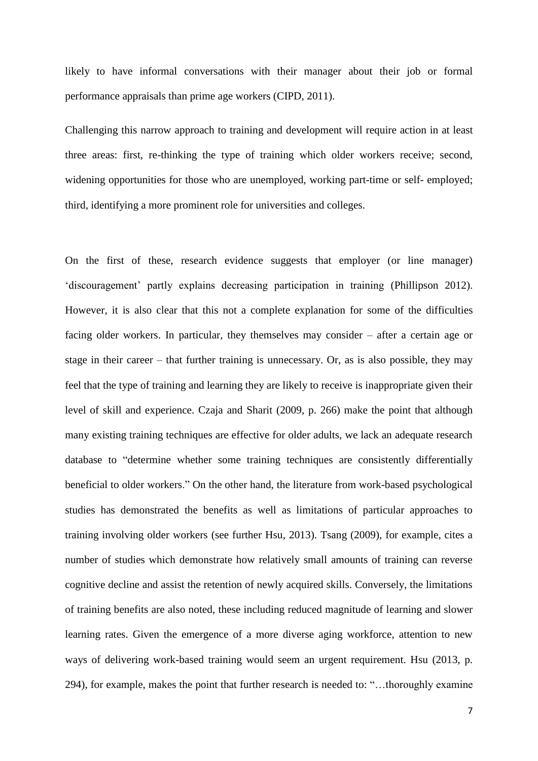likely to have informal conversations with their manager about their job or formal performance appraisals than prime age workers (CIPD, 2011).

Challenging this narrow approach to training and development will require action in at least three areas: first, re-thinking the type of training which older workers receive; second, widening opportunities for those who are unemployed, working part-time or self- employed; third, identifying a more prominent role for universities and colleges.

On the first of these, research evidence suggests that employer (or line manager) 'discouragement' partly explains decreasing participation in training (Phillipson 2012). However, it is also clear that this not a complete explanation for some of the difficulties facing older workers. In particular, they themselves may consider – after a certain age or stage in their career – that further training is unnecessary. Or, as is also possible, they may feel that the type of training and learning they are likely to receive is inappropriate given their level of skill and experience. Czaja and Sharit (2009, p. 266) make the point that although many existing training techniques are effective for older adults, we lack an adequate research database to "determine whether some training techniques are consistently differentially beneficial to older workers." On the other hand, the literature from work-based psychological studies has demonstrated the benefits as well as limitations of particular approaches to training involving older workers (see further Hsu, 2013). Tsang (2009), for example, cites a number of studies which demonstrate how relatively small amounts of training can reverse cognitive decline and assist the retention of newly acquired skills. Conversely, the limitations of training benefits are also noted, these including reduced magnitude of learning and slower learning rates. Given the emergence of a more diverse aging workforce, attention to new ways of delivering work-based training would seem an urgent requirement. Hsu (2013, p. 294), for example, makes the point that further research is needed to: "…thoroughly examine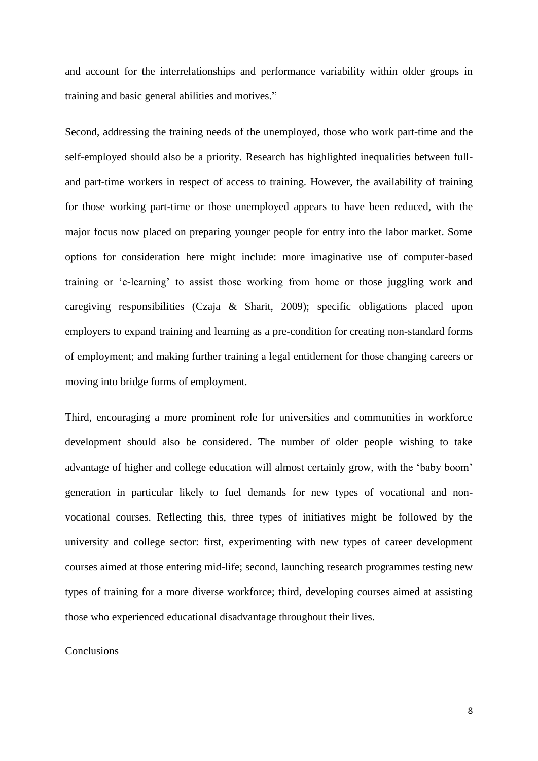and account for the interrelationships and performance variability within older groups in training and basic general abilities and motives."

Second, addressing the training needs of the unemployed, those who work part-time and the self-employed should also be a priority. Research has highlighted inequalities between fulland part-time workers in respect of access to training. However, the availability of training for those working part-time or those unemployed appears to have been reduced, with the major focus now placed on preparing younger people for entry into the labor market. Some options for consideration here might include: more imaginative use of computer-based training or 'e-learning' to assist those working from home or those juggling work and caregiving responsibilities (Czaja & Sharit, 2009); specific obligations placed upon employers to expand training and learning as a pre-condition for creating non-standard forms of employment; and making further training a legal entitlement for those changing careers or moving into bridge forms of employment.

Third, encouraging a more prominent role for universities and communities in workforce development should also be considered. The number of older people wishing to take advantage of higher and college education will almost certainly grow, with the 'baby boom' generation in particular likely to fuel demands for new types of vocational and nonvocational courses. Reflecting this, three types of initiatives might be followed by the university and college sector: first, experimenting with new types of career development courses aimed at those entering mid-life; second, launching research programmes testing new types of training for a more diverse workforce; third, developing courses aimed at assisting those who experienced educational disadvantage throughout their lives.

#### Conclusions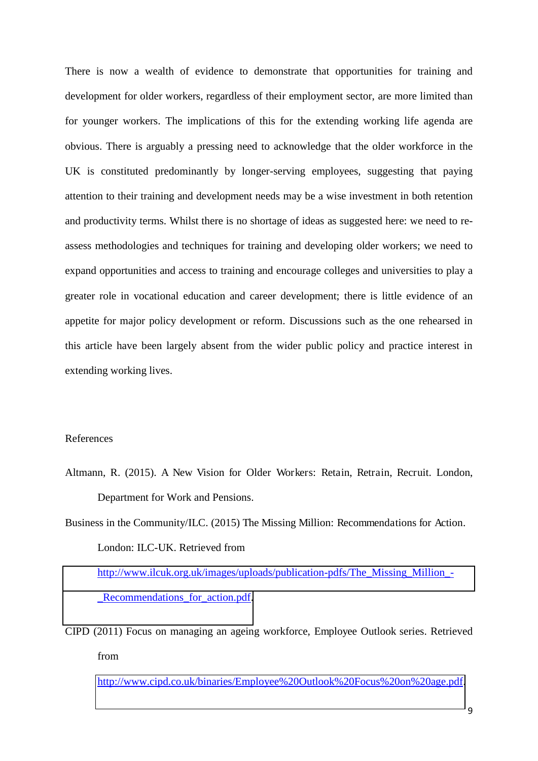There is now a wealth of evidence to demonstrate that opportunities for training and development for older workers, regardless of their employment sector, are more limited than for younger workers. The implications of this for the extending working life agenda are obvious. There is arguably a pressing need to acknowledge that the older workforce in the UK is constituted predominantly by longer-serving employees, suggesting that paying attention to their training and development needs may be a wise investment in both retention and productivity terms. Whilst there is no shortage of ideas as suggested here: we need to reassess methodologies and techniques for training and developing older workers; we need to expand opportunities and access to training and encourage colleges and universities to play a greater role in vocational education and career development; there is little evidence of an appetite for major policy development or reform. Discussions such as the one rehearsed in this article have been largely absent from the wider public policy and practice interest in extending working lives.

#### References

Altmann, R. (2015). A New Vision for Older Workers: Retain, Retrain, Recruit. London, Department for Work and Pensions.

Business in the Community/ILC. (2015) The Missing Million: Recommendations for Action. London: ILC-UK. Retrieved from [http://www.ilcuk.org.uk/images/uploads/publication-pdfs/The\\_Missing\\_Million\\_-](http://www.ilcuk.org.uk/images/uploads/publication-pdfs/The_Missing_Million_-_Recommendations_for_action.pdf) [\\_Recommendations\\_for\\_action.pdf.](http://www.ilcuk.org.uk/images/uploads/publication-pdfs/The_Missing_Million_-_Recommendations_for_action.pdf)

CIPD (2011) Focus on managing an ageing workforce, Employee Outlook series. Retrieved from

[http://www.cipd.co.uk/binaries/Employee%20Outlook%20Focus%20on%20age.pdf.](http://www.cipd.co.uk/binaries/Employee%20Outlook%20Focus%20on%20age.pdf)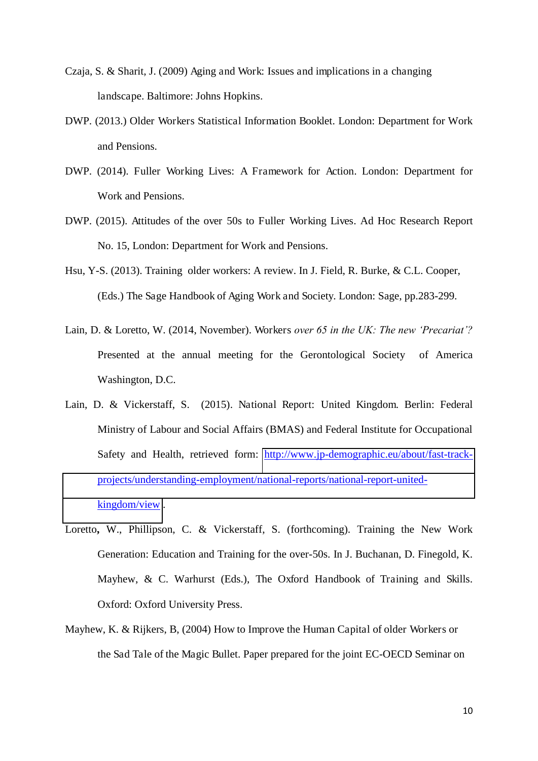- Czaja, S. & Sharit, J. (2009) Aging and Work: Issues and implications in a changing landscape. Baltimore: Johns Hopkins.
- DWP. (2013.) Older Workers Statistical Information Booklet. London: Department for Work and Pensions.
- DWP. (2014). Fuller Working Lives: A Framework for Action. London: Department for Work and Pensions.
- DWP. (2015). Attitudes of the over 50s to Fuller Working Lives. Ad Hoc Research Report No. 15, London: Department for Work and Pensions.
- Hsu, Y-S. (2013). Training older workers: A review. In J. Field, R. Burke, & C.L. Cooper, (Eds.) The Sage Handbook of Aging Work and Society. London: Sage, pp.283-299.
- Lain, D. & Loretto, W. (2014, November). Workers *over 65 in the UK: The new 'Precariat'?* Presented at the annual meeting for the Gerontological Society of America Washington, D.C.
- Lain, D. & Vickerstaff, S. (2015). National Report: United Kingdom. Berlin: Federal Ministry of Labour and Social Affairs (BMAS) and Federal Institute for Occupational Safety and Health, retrieved form: [http://www.jp-demographic.eu/about/fast-track](http://www.jp-demographic.eu/about/fast-track-projects/understanding-employment/national-reports/national-report-united-kingdom/view)[projects/understanding-employment/national-reports/national-report-united](http://www.jp-demographic.eu/about/fast-track-projects/understanding-employment/national-reports/national-report-united-kingdom/view)[kingdom/view](http://www.jp-demographic.eu/about/fast-track-projects/understanding-employment/national-reports/national-report-united-kingdom/view) .
- Loretto**,** W., Phillipson, C. & Vickerstaff, S. (forthcoming). Training the New Work Generation: Education and Training for the over-50s. In J. Buchanan, D. Finegold, K. Mayhew, & C. Warhurst (Eds.), The Oxford Handbook of Training and Skills. Oxford: Oxford University Press.
- Mayhew, K. & Rijkers, B, (2004) How to Improve the Human Capital of older Workers or the Sad Tale of the Magic Bullet. Paper prepared for the joint EC-OECD Seminar on